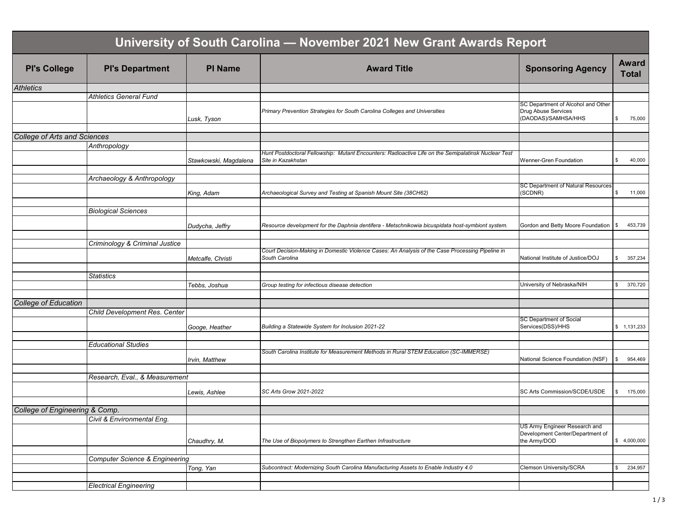| University of South Carolina - November 2021 New Grant Awards Report |                                           |                       |                                                                                                                           |                                                                                  |                              |  |  |
|----------------------------------------------------------------------|-------------------------------------------|-----------------------|---------------------------------------------------------------------------------------------------------------------------|----------------------------------------------------------------------------------|------------------------------|--|--|
| <b>PI's College</b>                                                  | <b>PI's Department</b>                    | <b>PI Name</b>        | <b>Award Title</b>                                                                                                        | <b>Sponsoring Agency</b>                                                         | <b>Award</b><br><b>Total</b> |  |  |
| <b>Athletics</b>                                                     |                                           |                       |                                                                                                                           |                                                                                  |                              |  |  |
|                                                                      | <b>Athletics General Fund</b>             |                       |                                                                                                                           |                                                                                  |                              |  |  |
|                                                                      |                                           | Lusk, Tyson           | Primary Prevention Strategies for South Carolina Colleges and Universities                                                | SC Department of Alcohol and Other<br>Drug Abuse Services<br>(DAODAS)/SAMHSA/HHS | 75,000<br>\$                 |  |  |
|                                                                      |                                           |                       |                                                                                                                           |                                                                                  |                              |  |  |
| <b>College of Arts and Sciences</b>                                  | Anthropology                              |                       |                                                                                                                           |                                                                                  |                              |  |  |
|                                                                      |                                           | Stawkowski, Magdalena | Hunt Postdoctoral Fellowship: Mutant Encounters: Radioactive Life on the Semipalatinsk Nuclear Test<br>Site in Kazakhstan | Wenner-Gren Foundation                                                           | \$<br>40,000                 |  |  |
|                                                                      | Archaeology & Anthropology                |                       |                                                                                                                           |                                                                                  |                              |  |  |
|                                                                      |                                           | King, Adam            | Archaeological Survey and Testing at Spanish Mount Site (38CH62)                                                          | SC Department of Natural Resources<br>(SCDNR)                                    | \$<br>11,000                 |  |  |
|                                                                      |                                           |                       |                                                                                                                           |                                                                                  |                              |  |  |
|                                                                      | <b>Biological Sciences</b>                |                       |                                                                                                                           |                                                                                  |                              |  |  |
|                                                                      |                                           | Dudycha, Jeffry       | Resource development for the Daphnia dentifera - Metschnikowia bicuspidata host-symbiont system.                          | Gordon and Betty Moore Foundation                                                | 453,739<br>\$                |  |  |
|                                                                      | Criminology & Criminal Justice            |                       |                                                                                                                           |                                                                                  |                              |  |  |
|                                                                      |                                           | Metcalfe, Christi     | Court Decision-Making in Domestic Violence Cases: An Analysis of the Case Processing Pipeline in<br>South Carolina        | National Institute of Justice/DOJ                                                | \$<br>357,234                |  |  |
|                                                                      | <b>Statistics</b>                         |                       |                                                                                                                           |                                                                                  |                              |  |  |
|                                                                      |                                           | Tebbs, Joshua         | Group testing for infectious disease detection                                                                            | University of Nebraska/NIH                                                       | 370,720<br>\$                |  |  |
|                                                                      |                                           |                       |                                                                                                                           |                                                                                  |                              |  |  |
| <b>College of Education</b>                                          |                                           |                       |                                                                                                                           |                                                                                  |                              |  |  |
|                                                                      | Child Development Res. Center             | Googe, Heather        | Building a Statewide System for Inclusion 2021-22                                                                         | <b>SC Department of Social</b><br>Services(DSS)/HHS                              | \$1,131,233                  |  |  |
|                                                                      |                                           |                       |                                                                                                                           |                                                                                  |                              |  |  |
|                                                                      | <b>Educational Studies</b>                |                       |                                                                                                                           |                                                                                  |                              |  |  |
|                                                                      |                                           | Irvin, Matthew        | South Carolina Institute for Measurement Methods in Rural STEM Education (SC-IMMERSE)                                     | National Science Foundation (NSF)                                                | 954,469<br>\$                |  |  |
|                                                                      | Research, Eval., & Measurement            |                       |                                                                                                                           |                                                                                  |                              |  |  |
|                                                                      |                                           | Lewis, Ashlee         | SC Arts Grow 2021-2022                                                                                                    | SC Arts Commission/SCDE/USDE                                                     | 175,000<br>\$.               |  |  |
|                                                                      |                                           |                       |                                                                                                                           |                                                                                  |                              |  |  |
| College of Engineering & Comp.                                       | Civil & Environmental Eng.                |                       |                                                                                                                           |                                                                                  |                              |  |  |
|                                                                      |                                           |                       |                                                                                                                           | US Army Engineer Research and                                                    |                              |  |  |
|                                                                      |                                           | Chaudhry, M.          | The Use of Biopolymers to Strengthen Earthen Infrastructure                                                               | Development Center/Department of<br>the Army/DOD                                 | \$4,000,000                  |  |  |
|                                                                      |                                           |                       |                                                                                                                           |                                                                                  |                              |  |  |
|                                                                      | <b>Computer Science &amp; Engineering</b> | Tong, Yan             | Subcontract: Modernizing South Carolina Manufacturing Assets to Enable Industry 4.0                                       | Clemson University/SCRA                                                          | 234,957<br>\$                |  |  |
|                                                                      |                                           |                       |                                                                                                                           |                                                                                  |                              |  |  |
|                                                                      | <b>Electrical Engineering</b>             |                       |                                                                                                                           |                                                                                  |                              |  |  |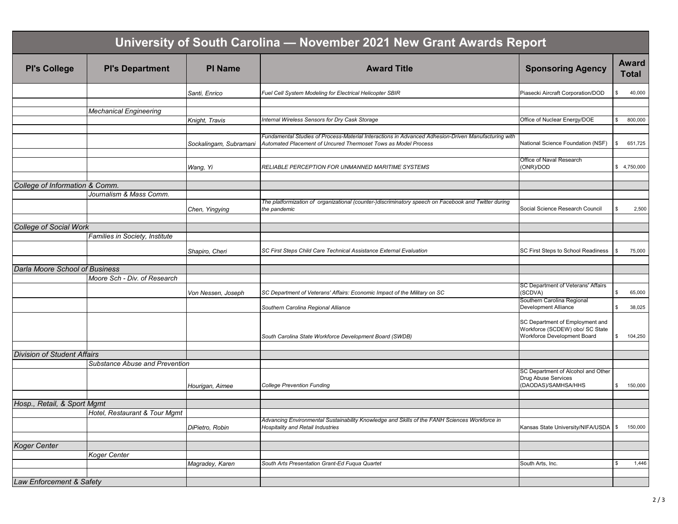| University of South Carolina - November 2021 New Grant Awards Report |                                |                        |                                                                                                                                                                       |                                                                                                   |    |                              |  |
|----------------------------------------------------------------------|--------------------------------|------------------------|-----------------------------------------------------------------------------------------------------------------------------------------------------------------------|---------------------------------------------------------------------------------------------------|----|------------------------------|--|
| <b>PI's College</b>                                                  | <b>PI's Department</b>         | <b>PI Name</b>         | <b>Award Title</b>                                                                                                                                                    | <b>Sponsoring Agency</b>                                                                          |    | <b>Award</b><br><b>Total</b> |  |
|                                                                      |                                | Santi, Enrico          | Fuel Cell System Modeling for Electrical Helicopter SBIR                                                                                                              | Piasecki Aircraft Corporation/DOD                                                                 | \$ | 40,000                       |  |
|                                                                      | <b>Mechanical Engineering</b>  |                        |                                                                                                                                                                       |                                                                                                   |    |                              |  |
|                                                                      |                                | Knight, Travis         | Internal Wireless Sensors for Dry Cask Storage                                                                                                                        | Office of Nuclear Energy/DOE                                                                      | \$ | 800,000                      |  |
|                                                                      |                                |                        |                                                                                                                                                                       |                                                                                                   |    |                              |  |
|                                                                      |                                | Sockalingam, Subramani | Fundamental Studies of Process-Material Interactions in Advanced Adhesion-Driven Manufacturing with<br>Automated Placement of Uncured Thermoset Tows as Model Process | National Science Foundation (NSF)                                                                 | \$ | 651,725                      |  |
|                                                                      |                                |                        |                                                                                                                                                                       | Office of Naval Research                                                                          |    |                              |  |
|                                                                      |                                | Wang, Yi               | RELIABLE PERCEPTION FOR UNMANNED MARITIME SYSTEMS                                                                                                                     | (ONR)/DOD                                                                                         |    | \$4,750,000                  |  |
| College of Information & Comm.                                       |                                |                        |                                                                                                                                                                       |                                                                                                   |    |                              |  |
|                                                                      | Journalism & Mass Comm.        |                        |                                                                                                                                                                       |                                                                                                   |    |                              |  |
|                                                                      |                                | Chen, Yingying         | The platformization of organizational (counter-)discriminatory speech on Facebook and Twitter during<br>the pandemic                                                  | Social Science Research Council                                                                   | S. | 2,500                        |  |
|                                                                      |                                |                        |                                                                                                                                                                       |                                                                                                   |    |                              |  |
| <b>College of Social Work</b>                                        |                                |                        |                                                                                                                                                                       |                                                                                                   |    |                              |  |
|                                                                      | Families in Society, Institute |                        |                                                                                                                                                                       |                                                                                                   |    |                              |  |
|                                                                      |                                | Shapiro, Cheri         | SC First Steps Child Care Technical Assistance External Evaluation                                                                                                    | SC First Steps to School Readiness                                                                | \$ | 75,000                       |  |
| Darla Moore School of Business                                       |                                |                        |                                                                                                                                                                       |                                                                                                   |    |                              |  |
|                                                                      | Moore Sch - Div. of Research   |                        |                                                                                                                                                                       |                                                                                                   |    |                              |  |
|                                                                      |                                | Von Nessen, Joseph     | SC Department of Veterans' Affairs: Economic Impact of the Military on SC                                                                                             | SC Department of Veterans' Affairs<br>(SCDVA)                                                     | \$ | 65,000                       |  |
|                                                                      |                                |                        | Southern Carolina Regional Alliance                                                                                                                                   | Southern Carolina Regional<br>Development Alliance                                                | \$ | 38,025                       |  |
|                                                                      |                                |                        | South Carolina State Workforce Development Board (SWDB)                                                                                                               | SC Department of Employment and<br>Workforce (SCDEW) obo/ SC State<br>Workforce Development Board | \$ | 104,250                      |  |
| <b>Division of Student Affairs</b>                                   |                                |                        |                                                                                                                                                                       |                                                                                                   |    |                              |  |
|                                                                      | Substance Abuse and Prevention |                        |                                                                                                                                                                       |                                                                                                   |    |                              |  |
|                                                                      |                                |                        |                                                                                                                                                                       | SC Department of Alcohol and Other<br>Drug Abuse Services                                         |    |                              |  |
|                                                                      |                                | Hourigan, Aimee        | <b>College Prevention Funding</b>                                                                                                                                     | (DAODAS)/SAMHSA/HHS                                                                               | \$ | 150,000                      |  |
| Hosp., Retail, & Sport Mgmt                                          |                                |                        |                                                                                                                                                                       |                                                                                                   |    |                              |  |
|                                                                      | Hotel, Restaurant & Tour Mgmt  |                        |                                                                                                                                                                       |                                                                                                   |    |                              |  |
|                                                                      |                                | DiPietro, Robin        | Advancing Environmental Sustainability Knowledge and Skills of the FANH Sciences Workforce in<br>Hospitality and Retail Industries                                    | Kansas State University/NIFA/USDA                                                                 | \$ | 150,000                      |  |
|                                                                      |                                |                        |                                                                                                                                                                       |                                                                                                   |    |                              |  |
| <b>Koger Center</b>                                                  | <b>Koger Center</b>            |                        |                                                                                                                                                                       |                                                                                                   |    |                              |  |
|                                                                      |                                | Magradey, Karen        | South Arts Presentation Grant-Ed Fuqua Quartet                                                                                                                        | South Arts, Inc.                                                                                  | \$ | 1,446                        |  |
|                                                                      |                                |                        |                                                                                                                                                                       |                                                                                                   |    |                              |  |
| Law Enforcement & Safety                                             |                                |                        |                                                                                                                                                                       |                                                                                                   |    |                              |  |